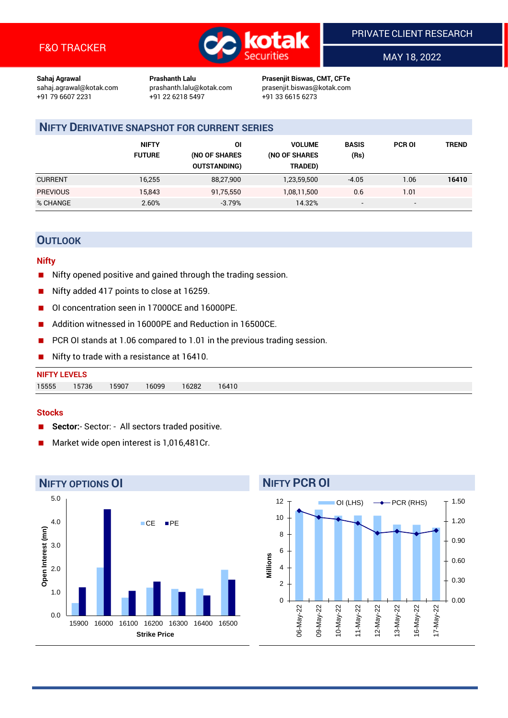

MAY 18, 2022

**Sahaj Agrawal Prashanth Lalu Prasenjit Biswas, CMT, CFTe** +91 22 6218 5497 +91 33 6615 6273

sahaj.agrawal@kotak.com [prashanth.lalu@kotak.com](mailto:prashanth.lalu@kotak.com) prasenjit.biswas@kotak.com

# **NIFTY DERIVATIVE SNAPSHOT FOR CURRENT SERIES**

|                 | <b>NIFTY</b><br><b>FUTURE</b> | 01<br>(NO OF SHARES<br><b>OUTSTANDING)</b> | <b>VOLUME</b><br>(NO OF SHARES<br>TRADED) | <b>BASIS</b><br>(Rs)     | <b>PCR OI</b> | TREND |
|-----------------|-------------------------------|--------------------------------------------|-------------------------------------------|--------------------------|---------------|-------|
| <b>CURRENT</b>  | 16,255                        | 88,27,900                                  | 1,23,59,500                               | $-4.05$                  | 1.06          | 16410 |
| <b>PREVIOUS</b> | 15,843                        | 91,75,550                                  | 1,08,11,500                               | 0.6                      | 1.01          |       |
| % CHANGE        | 2.60%                         | $-3.79%$                                   | 14.32%                                    | $\overline{\phantom{a}}$ | -             |       |

# **OUTLOOK**

### **Nifty**

- Nifty opened positive and gained through the trading session.
- Nifty added 417 points to close at 16259.
- OI concentration seen in 17000CE and 16000PE.
- Addition witnessed in 16000PE and Reduction in 16500CE.
- PCR OI stands at 1.06 compared to 1.01 in the previous trading session.
- Nifty to trade with a resistance at 16410.

| <b>NIFTY LEVELS</b> |       |       |       |       |       |
|---------------------|-------|-------|-------|-------|-------|
| 15555               | 15736 | 15907 | 16099 | 16282 | 16410 |

#### **Stocks**

- Sector:- Sector: All sectors traded positive.
- Market wide open interest is 1,016,481Cr.



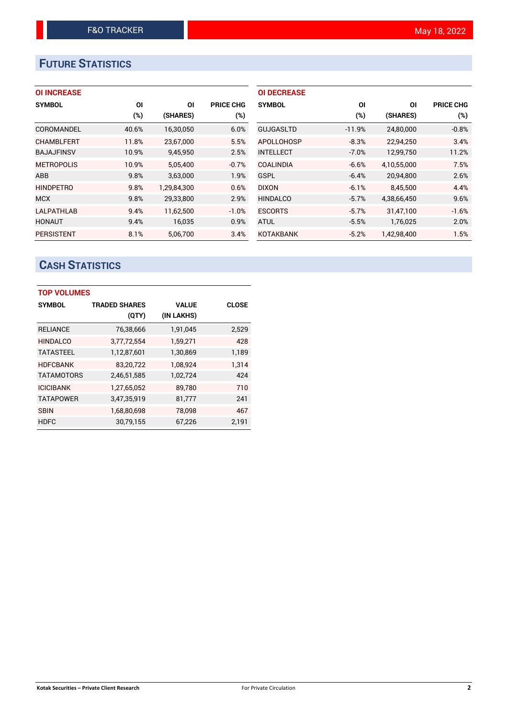# **FUTURE STATISTICS**

|  | <b>OI INCREASE</b> |  |
|--|--------------------|--|
|  |                    |  |

| <b>SYMBOL</b>     | ΟI    | ΟI          | <b>PRICE CHG</b> |
|-------------------|-------|-------------|------------------|
|                   | (%)   | (SHARES)    | (%)              |
| COROMANDEL        | 40.6% | 16,30,050   | 6.0%             |
| <b>CHAMBLFERT</b> | 11.8% | 23,67,000   | 5.5%             |
| <b>BAJAJFINSV</b> | 10.9% | 9,45,950    | 2.5%             |
| <b>METROPOLIS</b> | 10.9% | 5,05,400    | $-0.7%$          |
| <b>ABB</b>        | 9.8%  | 3,63,000    | 1.9%             |
| <b>HINDPETRO</b>  | 9.8%  | 1.29.84.300 | 0.6%             |
| <b>MCX</b>        | 9.8%  | 29,33,800   | 2.9%             |
| <b>LALPATHLAB</b> | 9.4%  | 11,62,500   | $-1.0%$          |
| <b>HONAUT</b>     | 9.4%  | 16,035      | 0.9%             |
| <b>PERSISTENT</b> | 8.1%  | 5.06.700    | 3.4%             |

| <b>OI DECREASE</b> |         |             |                  |
|--------------------|---------|-------------|------------------|
| <b>SYMBOL</b>      | ΟI      | ΩI          | <b>PRICE CHG</b> |
|                    | (%)     | (SHARES)    | (%)              |
| <b>GUJGASLTD</b>   | -11.9%  | 24,80,000   | $-0.8%$          |
| APOLLOHOSP         | $-8.3%$ | 22,94,250   | 3.4%             |
| <b>INTELLECT</b>   | $-7.0%$ | 12.99.750   | 11.2%            |
| <b>COALINDIA</b>   | $-6.6%$ | 4,10,55,000 | 7.5%             |
| GSPL               | $-6.4%$ | 20,94,800   | 2.6%             |
| <b>DIXON</b>       | $-6.1%$ | 8,45,500    | 4.4%             |
| <b>HINDALCO</b>    | $-5.7%$ | 4.38.66.450 | 9.6%             |
| <b>ESCORTS</b>     | $-5.7%$ | 31.47.100   | $-1.6%$          |
| <b>ATUL</b>        | $-5.5%$ | 1,76,025    | 2.0%             |
| <b>KOTAKBANK</b>   | $-5.2%$ | 1.42.98.400 | 1.5%             |

# **CASH STATISTICS**

| <b>TOP VOLUMES</b> |                      |              |              |  |  |  |  |
|--------------------|----------------------|--------------|--------------|--|--|--|--|
| <b>SYMBOL</b>      | <b>TRADED SHARES</b> | <b>VALUE</b> | <b>CLOSE</b> |  |  |  |  |
|                    | (QTY)                | (IN LAKHS)   |              |  |  |  |  |
| <b>RELIANCE</b>    | 76,38,666            | 1,91,045     | 2,529        |  |  |  |  |
| <b>HINDALCO</b>    | 3,77,72,554          | 1,59,271     | 428          |  |  |  |  |
| <b>TATASTEEL</b>   | 1,12,87,601          | 1,30,869     | 1,189        |  |  |  |  |
| <b>HDFCBANK</b>    | 83,20,722            | 1,08,924     | 1.314        |  |  |  |  |
| <b>TATAMOTORS</b>  | 2,46,51,585          | 1,02,724     | 424          |  |  |  |  |
| <b>ICICIBANK</b>   | 1,27,65,052          | 89,780       | 710          |  |  |  |  |
| <b>TATAPOWER</b>   | 3,47,35,919          | 81,777       | 241          |  |  |  |  |
| <b>SBIN</b>        | 1,68,80,698          | 78,098       | 467          |  |  |  |  |
| <b>HDFC</b>        | 30,79,155            | 67,226       | 2,191        |  |  |  |  |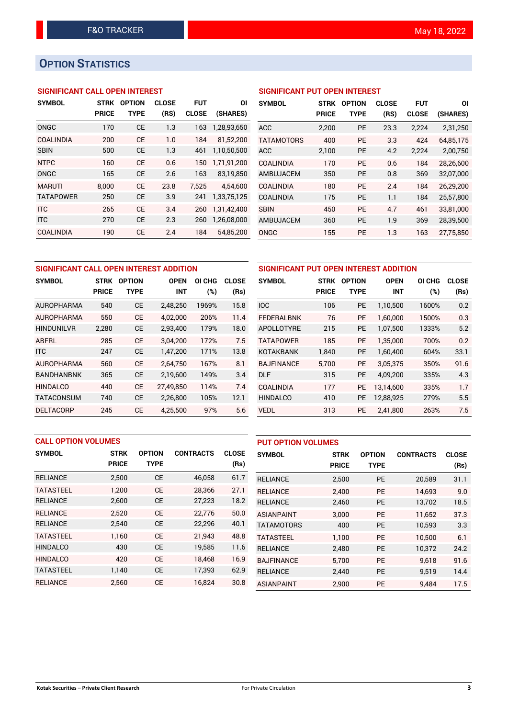# **OPTION STATISTICS**

# **SIGNIFICANT CALL OPEN INTEREST**

| <b>SYMBOL</b>    | <b>STRK</b>  | <b>OPTION</b> | <b>CLOSE</b> | <b>FUT</b>   | ΟI          |
|------------------|--------------|---------------|--------------|--------------|-------------|
|                  | <b>PRICE</b> | TYPE          | (RS)         | <b>CLOSE</b> | (SHARES)    |
| ONGC             | 170          | <b>CE</b>     | 1.3          | 163          | 1,28,93,650 |
| <b>COALINDIA</b> | 200          | CF            | 1.0          | 184          | 81,52,200   |
| <b>SBIN</b>      | 500          | <b>CE</b>     | 1.3          | 461          | 1,10,50,500 |
| <b>NTPC</b>      | 160          | <b>CE</b>     | 0.6          | 150          | 1,71,91,200 |
| ONGC             | 165          | <b>CE</b>     | 2.6          | 163          | 83,19,850   |
| <b>MARUTI</b>    | 8.000        | CE            | 23.8         | 7.525        | 4,54,600    |
| <b>TATAPOWER</b> | 250          | <b>CE</b>     | 3.9          | 241          | 1,33,75,125 |
| <b>ITC</b>       | 265          | <b>CE</b>     | 3.4          | 260          | 1,31,42,400 |
| <b>ITC</b>       | 270          | <b>CE</b>     | 2.3          | 260          | 1,26,08,000 |
| <b>COALINDIA</b> | 190          | СE            | 2.4          | 184          | 54.85.200   |

| <b>SIGNIFICANT PUT OPEN INTEREST</b> |              |               |              |              |           |  |  |  |
|--------------------------------------|--------------|---------------|--------------|--------------|-----------|--|--|--|
| <b>SYMBOL</b>                        | <b>STRK</b>  | <b>OPTION</b> | <b>CLOSE</b> | <b>FUT</b>   | ΟI        |  |  |  |
|                                      | <b>PRICE</b> | <b>TYPE</b>   | (RS)         | <b>CLOSE</b> | (SHARES)  |  |  |  |
| <b>ACC</b>                           | 2,200        | <b>PE</b>     | 23.3         | 2,224        | 2,31,250  |  |  |  |
| <b>TATAMOTORS</b>                    | 400          | <b>PE</b>     | 3.3          | 424          | 64,85,175 |  |  |  |
| <b>ACC</b>                           | 2,100        | <b>PE</b>     | 4.2          | 2,224        | 2,00,750  |  |  |  |
| <b>COALINDIA</b>                     | 170          | <b>PE</b>     | 0.6          | 184          | 28,26,600 |  |  |  |
| AMBUJACEM                            | 350          | <b>PE</b>     | 0.8          | 369          | 32,07,000 |  |  |  |
| <b>COALINDIA</b>                     | 180          | <b>PE</b>     | 2.4          | 184          | 26,29,200 |  |  |  |
| <b>COALINDIA</b>                     | 175          | <b>PE</b>     | 1.1          | 184          | 25,57,800 |  |  |  |
| <b>SBIN</b>                          | 450          | <b>PE</b>     | 4.7          | 461          | 33,81,000 |  |  |  |
| <b>AMBUJACEM</b>                     | 360          | <b>PE</b>     | 1.9          | 369          | 28,39,500 |  |  |  |
| ONGC                                 | 155          | <b>PE</b>     | 1.3          | 163          | 27.75.850 |  |  |  |

| SIGNIFICANT CALL OPEN INTEREST ADDITION |              |               |             |        |              | SIGNIFICANT PUT OPEN INTEREST ADDITION |              |               |             |        |              |
|-----------------------------------------|--------------|---------------|-------------|--------|--------------|----------------------------------------|--------------|---------------|-------------|--------|--------------|
| <b>SYMBOL</b>                           | <b>STRK</b>  | <b>OPTION</b> | <b>OPEN</b> | OI CHG | <b>CLOSE</b> | <b>SYMBOL</b>                          | <b>STRK</b>  | <b>OPTION</b> | <b>OPEN</b> | OI CHG | <b>CLOSE</b> |
|                                         | <b>PRICE</b> | <b>TYPE</b>   | <b>INT</b>  | (%)    | (Rs)         |                                        | <b>PRICE</b> | <b>TYPE</b>   | <b>INT</b>  | (%)    | (Rs)         |
| <b>AUROPHARMA</b>                       | 540          | <b>CE</b>     | 2,48,250    | 1969%  | 15.8         | <b>IOC</b>                             | 106          | <b>PE</b>     | 1,10,500    | 1600%  | 0.2          |
| <b>AUROPHARMA</b>                       | 550          | <b>CE</b>     | 4.02.000    | 206%   | 11.4         | <b>FEDERALBNK</b>                      | 76           | <b>PE</b>     | 1.60.000    | 1500%  | 0.3          |
| <b>HINDUNILVR</b>                       | 2,280        | <b>CE</b>     | 2,93,400    | 179%   | 18.0         | APOLLOTYRE                             | 215          | <b>PE</b>     | 1,07,500    | 1333%  | 5.2          |
| <b>ABFRL</b>                            | 285          | <b>CE</b>     | 3.04.200    | 172%   | 7.5          | <b>TATAPOWER</b>                       | 185          | <b>PE</b>     | 1.35.000    | 700%   | 0.2          |
| <b>ITC</b>                              | 247          | <b>CE</b>     | 1,47,200    | 171%   | 13.8         | <b>KOTAKBANK</b>                       | 1,840        | <b>PE</b>     | 1,60,400    | 604%   | 33.1         |
| <b>AUROPHARMA</b>                       | 560          | <b>CE</b>     | 2,64,750    | 167%   | 8.1          | <b>BAJFINANCE</b>                      | 5.700        | <b>PE</b>     | 3.05.375    | 350%   | 91.6         |
| <b>BANDHANBNK</b>                       | 365          | <b>CE</b>     | 2,19,600    | 149%   | 3.4          | <b>DLF</b>                             | 315          | <b>PE</b>     | 4,09,200    | 335%   | 4.3          |
| <b>HINDALCO</b>                         | 440          | <b>CE</b>     | 27.49.850   | 114%   | 7.4          | <b>COALINDIA</b>                       | 177          | <b>PE</b>     | 13.14.600   | 335%   | 1.7          |
| <b>TATACONSUM</b>                       | 740          | <b>CE</b>     | 2,26,800    | 105%   | 12.1         | <b>HINDALCO</b>                        | 410          | <b>PE</b>     | 12,88,925   | 279%   | 5.5          |
| <b>DELTACORP</b>                        | 245          | <b>CE</b>     | 4,25,500    | 97%    | 5.6          | <b>VEDL</b>                            | 313          | <b>PE</b>     | 2,41,800    | 263%   | 7.5          |

| <b>CALL OPTION VOLUMES</b> |              |               |                  |              | <b>PUT OPTION VOLUMES</b> |              |               |                  |              |
|----------------------------|--------------|---------------|------------------|--------------|---------------------------|--------------|---------------|------------------|--------------|
| <b>SYMBOL</b>              | <b>STRK</b>  | <b>OPTION</b> | <b>CONTRACTS</b> | <b>CLOSE</b> | <b>SYMBOL</b>             | <b>STRK</b>  | <b>OPTION</b> | <b>CONTRACTS</b> | <b>CLOSE</b> |
|                            | <b>PRICE</b> | <b>TYPE</b>   |                  | (Rs)         |                           | <b>PRICE</b> | <b>TYPE</b>   |                  | (Rs)         |
| <b>RELIANCE</b>            | 2,500        | <b>CE</b>     | 46,058           | 61.7         | <b>RELIANCE</b>           | 2,500        | <b>PE</b>     | 20,589           | 31.1         |
| <b>TATASTEEL</b>           | 1,200        | <b>CE</b>     | 28,366           | 27.1         | <b>RELIANCE</b>           | 2.400        | <b>PE</b>     | 14.693           | 9.0          |
| <b>RELIANCE</b>            | 2,600        | <b>CE</b>     | 27,223           | 18.2         | <b>RELIANCE</b>           | 2,460        | <b>PE</b>     | 13,702           | 18.5         |
| <b>RELIANCE</b>            | 2,520        | <b>CE</b>     | 22,776           | 50.0         | <b>ASIANPAINT</b>         | 3.000        | <b>PE</b>     | 11.652           | 37.3         |
| <b>RELIANCE</b>            | 2,540        | <b>CE</b>     | 22,296           | 40.1         | <b>TATAMOTORS</b>         | 400          | <b>PE</b>     | 10,593           | 3.3          |
| <b>TATASTEEL</b>           | 1.160        | <b>CE</b>     | 21,943           | 48.8         | <b>TATASTEEL</b>          | 1.100        | <b>PE</b>     | 10.500           | 6.1          |
| <b>HINDALCO</b>            | 430          | <b>CE</b>     | 19,585           | 11.6         | <b>RELIANCE</b>           | 2,480        | <b>PE</b>     | 10,372           | 24.2         |
| <b>HINDALCO</b>            | 420          | <b>CE</b>     | 18.468           | 16.9         | <b>BAJFINANCE</b>         | 5.700        | <b>PE</b>     | 9.618            | 91.6         |
| <b>TATASTEEL</b>           | 1.140        | <b>CE</b>     | 17,393           | 62.9         | <b>RELIANCE</b>           | 2,440        | <b>PE</b>     | 9,519            | 14.4         |
| <b>RELIANCE</b>            | 2,560        | <b>CE</b>     | 16.824           | 30.8         | <b>ASIANPAINT</b>         | 2,900        | <b>PE</b>     | 9.484            | 17.5         |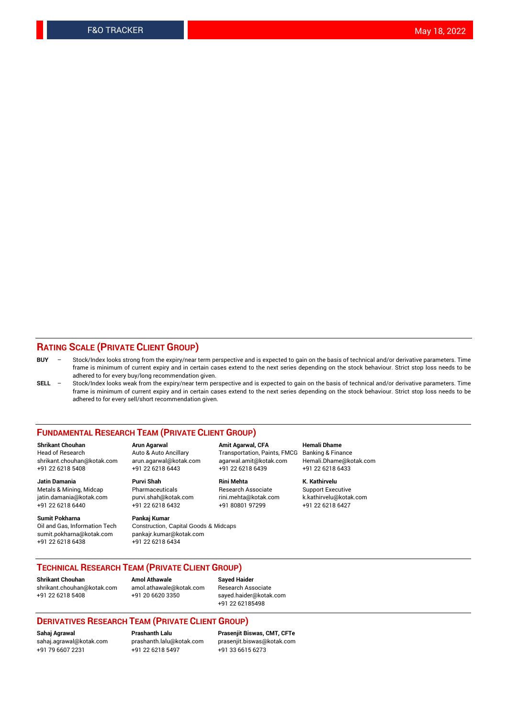## **RATING SCALE (PRIVATE CLIENT GROUP)**

- **BUY**  Stock/Index looks strong from the expiry/near term perspective and is expected to gain on the basis of technical and/or derivative parameters. Time frame is minimum of current expiry and in certain cases extend to the next series depending on the stock behaviour. Strict stop loss needs to be adhered to for every buy/long recommendation given.
- **SELL** Stock/Index looks weak from the expiry/near term perspective and is expected to gain on the basis of technical and/or derivative parameters. Time frame is minimum of current expiry and in certain cases extend to the next series depending on the stock behaviour. Strict stop loss needs to be adhered to for every sell/short recommendation given.

#### **FUNDAMENTAL RESEARCH TEAM (PRIVATE CLIENT GROUP)**

**Shrikant Chouhan Arun Agarwal Amit Agarwal, CFA Hemali Dhame** shrikant.chouhan@kotak.com arun.agarwal@kotak.com agarwal.amit@kotak.com Hemali.Dhame@kotak.com +91 22 6218 5408 +91 22 6218 6443 +91 22 6218 6439 +91 22 6218 6433

Metals & Mining, Midcap Pharmaceuticals Pharmaceuticals Research Associate Support Executive<br>
iatin.damania@kotak.com purvi.shah@kotak.com rini.mehta@kotak.com k.kathirvelu@kotak.com jatin.damania@kotak.com

**Sumit Pokharna** Pankaj Kumar<br>Oil and Gas, Information Tech Construction, sumit.pokharna@kotak.com pankajr.kumar@kotak.com

**Jatin Damania Purvi Shah Rini Mehta K. Kathirvelu**

Construction, Capital Goods & Midcaps +91 22 6218 6438 +91 22 6218 6434

Transportation, Paints, FMCG

+91 22 6218 6440 +91 22 6218 6432 +91 80801 97299 +91 22 6218 6427

## **TECHNICAL RESEARCH TEAM (PRIVATE CLIENT GROUP)**

**Shrikant Chouhan Amol Athawale Sayed Haider** [shrikant.chouhan@kotak.com](mailto:shrikant.chouhan@kotak.com) [amol.athawale@kotak.com](mailto:amol.athawale@kotak.com) Research Associate +91 22 6218 5408 +91 20 6620 3350 [sayed.haider@kotak.com](mailto:sayed.haider@kotak.com)

+91 22 62185498

#### **DERIVATIVES RESEARCH TEAM (PRIVATE CLIENT GROUP)**

+91 79 6607 2231 +91 22 6218 5497 +91 33 6615 6273

**Sahaj Agrawal Prashanth Lalu Prasenjit Biswas, CMT, CFTe** [prasenjit.biswas@kotak.com](mailto:prasenjit.biswas@kotak.com)